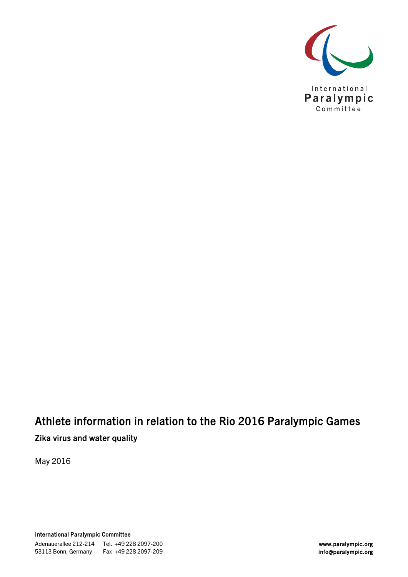

## Athlete information in relation to the Rio 2016 Paralympic Games Zika virus and water quality

May 2016

International Paralympic Committee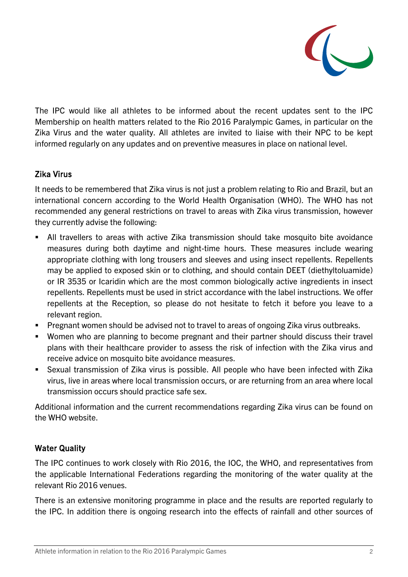

The IPC would like all athletes to be informed about the recent updates sent to the IPC Membership on health matters related to the Rio 2016 Paralympic Games, in particular on the Zika Virus and the water quality. All athletes are invited to liaise with their NPC to be kept informed regularly on any updates and on preventive measures in place on national level.

## Zika Virus

It needs to be remembered that Zika virus is not just a problem relating to Rio and Brazil, but an international concern according to the World Health Organisation (WHO). The WHO has not recommended any general restrictions on travel to areas with Zika virus transmission, however they currently advise the following:

- All travellers to areas with active Zika transmission should take mosquito bite avoidance measures during both daytime and night-time hours. These measures include wearing appropriate clothing with long trousers and sleeves and using insect repellents. Repellents may be applied to exposed skin or to clothing, and should contain DEET (diethyltoluamide) or IR 3535 or Icaridin which are the most common biologically active ingredients in insect repellents. Repellents must be used in strict accordance with the label instructions. We offer repellents at the Reception, so please do not hesitate to fetch it before you leave to a relevant region.
- Pregnant women should be advised not to travel to areas of ongoing Zika virus outbreaks.
- Women who are planning to become pregnant and their partner should discuss their travel plans with their healthcare provider to assess the risk of infection with the Zika virus and receive advice on mosquito bite avoidance measures.
- Sexual transmission of Zika virus is possible. All people who have been infected with Zika virus, live in areas where local transmission occurs, or are returning from an area where local transmission occurs should practice safe sex.

Additional information and the current recommendations regarding Zika virus can be found on the WHO website.

## Water Quality

The IPC continues to work closely with Rio 2016, the IOC, the WHO, and representatives from the applicable International Federations regarding the monitoring of the water quality at the relevant Rio 2016 venues.

There is an extensive monitoring programme in place and the results are reported regularly to the IPC. In addition there is ongoing research into the effects of rainfall and other sources of